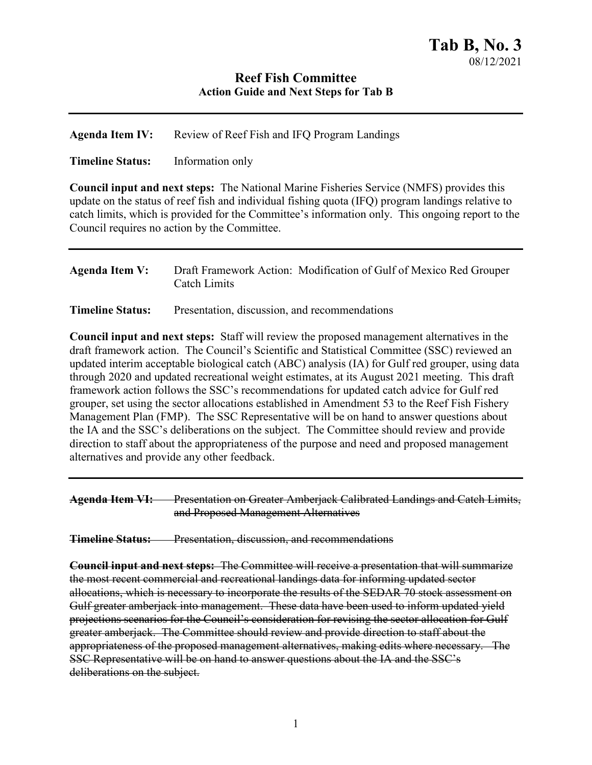## **Reef Fish Committee Action Guide and Next Steps for Tab B**

**Agenda Item IV:** Review of Reef Fish and IFQ Program Landings

**Timeline Status:** Information only

**Council input and next steps:** The National Marine Fisheries Service (NMFS) provides this update on the status of reef fish and individual fishing quota (IFQ) program landings relative to catch limits, which is provided for the Committee's information only. This ongoing report to the Council requires no action by the Committee.

| Agenda Item V: | Draft Framework Action: Modification of Gulf of Mexico Red Grouper |
|----------------|--------------------------------------------------------------------|
|                | Catch Limits                                                       |

**Timeline Status:** Presentation, discussion, and recommendations

**Council input and next steps:** Staff will review the proposed management alternatives in the draft framework action. The Council's Scientific and Statistical Committee (SSC) reviewed an updated interim acceptable biological catch (ABC) analysis (IA) for Gulf red grouper, using data through 2020 and updated recreational weight estimates, at its August 2021 meeting. This draft framework action follows the SSC's recommendations for updated catch advice for Gulf red grouper, set using the sector allocations established in Amendment 53 to the Reef Fish Fishery Management Plan (FMP). The SSC Representative will be on hand to answer questions about the IA and the SSC's deliberations on the subject. The Committee should review and provide direction to staff about the appropriateness of the purpose and need and proposed management alternatives and provide any other feedback.

| <b>Agenda Item VI:</b> | <b>Presentation on Greater Amberiack Calibrated Landings and Catch Limits</b>    |
|------------------------|----------------------------------------------------------------------------------|
|                        | <del>Treschiation on Greater Amberjack Canorated Lanungs and Caten Limits,</del> |
|                        | and Proposed Management Alternatives                                             |

**Timeline Status:** Presentation, discussion, and recommendations

**Council input and next steps:** The Committee will receive a presentation that will summarize the most recent commercial and recreational landings data for informing updated sector allocations, which is necessary to incorporate the results of the SEDAR 70 stock assessment on Gulf greater amberjack into management. These data have been used to inform updated yield projections scenarios for the Council's consideration for revising the sector allocation for Gulf greater amberjack. The Committee should review and provide direction to staff about the appropriateness of the proposed management alternatives, making edits where necessary. The SSC Representative will be on hand to answer questions about the IA and the SSC's deliberations on the subject.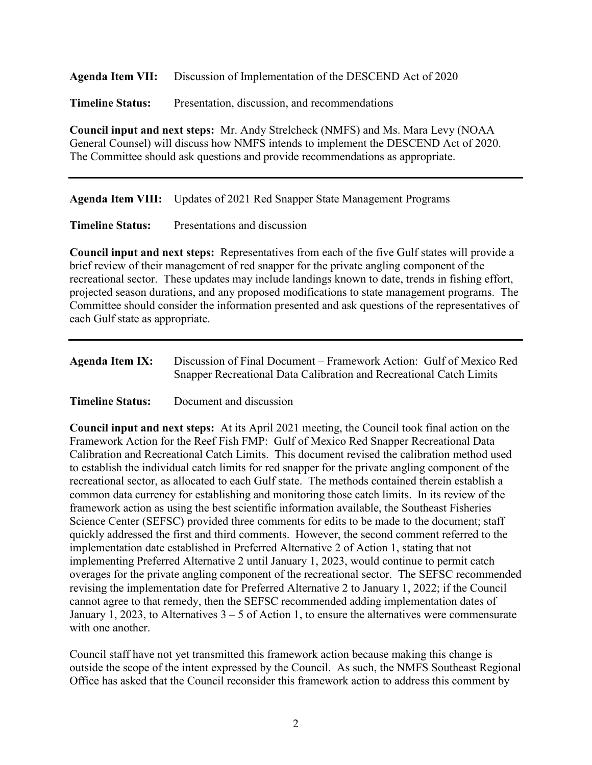**Agenda Item VII:** Discussion of Implementation of the DESCEND Act of 2020

**Timeline Status:** Presentation, discussion, and recommendations

**Council input and next steps:** Mr. Andy Strelcheck (NMFS) and Ms. Mara Levy (NOAA General Counsel) will discuss how NMFS intends to implement the DESCEND Act of 2020. The Committee should ask questions and provide recommendations as appropriate.

**Agenda Item VIII:** Updates of 2021 Red Snapper State Management Programs

**Timeline Status:** Presentations and discussion

**Council input and next steps:** Representatives from each of the five Gulf states will provide a brief review of their management of red snapper for the private angling component of the recreational sector. These updates may include landings known to date, trends in fishing effort, projected season durations, and any proposed modifications to state management programs. The Committee should consider the information presented and ask questions of the representatives of each Gulf state as appropriate.

| <b>Agenda Item IX:</b> | Discussion of Final Document – Framework Action: Gulf of Mexico Red |
|------------------------|---------------------------------------------------------------------|
|                        | Snapper Recreational Data Calibration and Recreational Catch Limits |

**Timeline Status:** Document and discussion

**Council input and next steps:** At its April 2021 meeting, the Council took final action on the Framework Action for the Reef Fish FMP: Gulf of Mexico Red Snapper Recreational Data Calibration and Recreational Catch Limits. This document revised the calibration method used to establish the individual catch limits for red snapper for the private angling component of the recreational sector, as allocated to each Gulf state. The methods contained therein establish a common data currency for establishing and monitoring those catch limits. In its review of the framework action as using the best scientific information available, the Southeast Fisheries Science Center (SEFSC) provided three comments for edits to be made to the document; staff quickly addressed the first and third comments. However, the second comment referred to the implementation date established in Preferred Alternative 2 of Action 1, stating that not implementing Preferred Alternative 2 until January 1, 2023, would continue to permit catch overages for the private angling component of the recreational sector. The SEFSC recommended revising the implementation date for Preferred Alternative 2 to January 1, 2022; if the Council cannot agree to that remedy, then the SEFSC recommended adding implementation dates of January 1, 2023, to Alternatives  $3 - 5$  of Action 1, to ensure the alternatives were commensurate with one another.

Council staff have not yet transmitted this framework action because making this change is outside the scope of the intent expressed by the Council. As such, the NMFS Southeast Regional Office has asked that the Council reconsider this framework action to address this comment by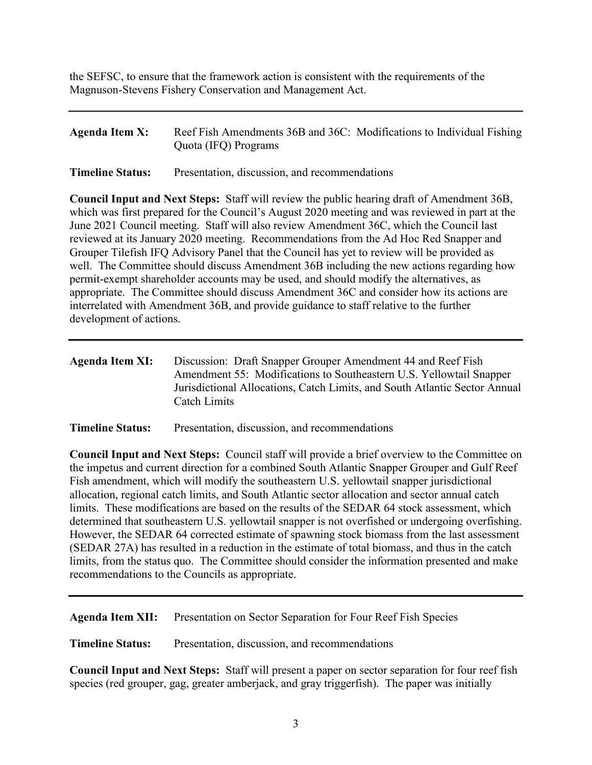the SEFSC, to ensure that the framework action is consistent with the requirements of the Magnuson-Stevens Fishery Conservation and Management Act.

| Agenda Item X: | Reef Fish Amendments 36B and 36C: Modifications to Individual Fishing |
|----------------|-----------------------------------------------------------------------|
|                | Quota (IFQ) Programs                                                  |

**Timeline Status:** Presentation, discussion, and recommendations

**Council Input and Next Steps:** Staff will review the public hearing draft of Amendment 36B, which was first prepared for the Council's August 2020 meeting and was reviewed in part at the June 2021 Council meeting. Staff will also review Amendment 36C, which the Council last reviewed at its January 2020 meeting. Recommendations from the Ad Hoc Red Snapper and Grouper Tilefish IFQ Advisory Panel that the Council has yet to review will be provided as well. The Committee should discuss Amendment 36B including the new actions regarding how permit-exempt shareholder accounts may be used, and should modify the alternatives, as appropriate. The Committee should discuss Amendment 36C and consider how its actions are interrelated with Amendment 36B, and provide guidance to staff relative to the further development of actions.

| Agenda Item XI: | Discussion: Draft Snapper Grouper Amendment 44 and Reef Fish               |
|-----------------|----------------------------------------------------------------------------|
|                 | Amendment 55: Modifications to Southeastern U.S. Yellowtail Snapper        |
|                 | Jurisdictional Allocations, Catch Limits, and South Atlantic Sector Annual |
|                 | Catch Limits                                                               |
|                 |                                                                            |

**Timeline Status:** Presentation, discussion, and recommendations

**Council Input and Next Steps:** Council staff will provide a brief overview to the Committee on the impetus and current direction for a combined South Atlantic Snapper Grouper and Gulf Reef Fish amendment, which will modify the southeastern U.S. yellowtail snapper jurisdictional allocation, regional catch limits, and South Atlantic sector allocation and sector annual catch limits. These modifications are based on the results of the SEDAR 64 stock assessment, which determined that southeastern U.S. yellowtail snapper is not overfished or undergoing overfishing. However, the SEDAR 64 corrected estimate of spawning stock biomass from the last assessment (SEDAR 27A) has resulted in a reduction in the estimate of total biomass, and thus in the catch limits, from the status quo. The Committee should consider the information presented and make recommendations to the Councils as appropriate.

**Agenda Item XII:** Presentation on Sector Separation for Four Reef Fish Species

**Timeline Status:** Presentation, discussion, and recommendations

**Council Input and Next Steps:** Staff will present a paper on sector separation for four reef fish species (red grouper, gag, greater amberjack, and gray triggerfish). The paper was initially